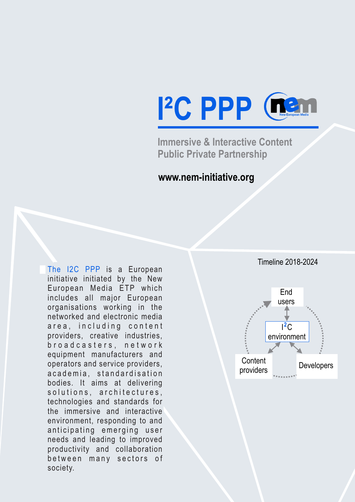

**Immersive & Interactive Content Public Private Partnership**

## **www.nem-initiative.org**

The I2C PPP is a European initiative initiated by the New European Media ETP which includes all major European organisations working in the networked and electronic media area, including content providers, creative industries, b r o a d c a s t e r s, n e t w o r k equipment manufacturers and operators and service providers, a c a d e mia, standard is a tion bodies. It aims at delivering solutions, architectures, technologies and standards for the immersive and interactive environment, responding to and anticipating emerging user needs and leading to improved productivity and collaboration between many sectors of society.



Timeline 2018-2024